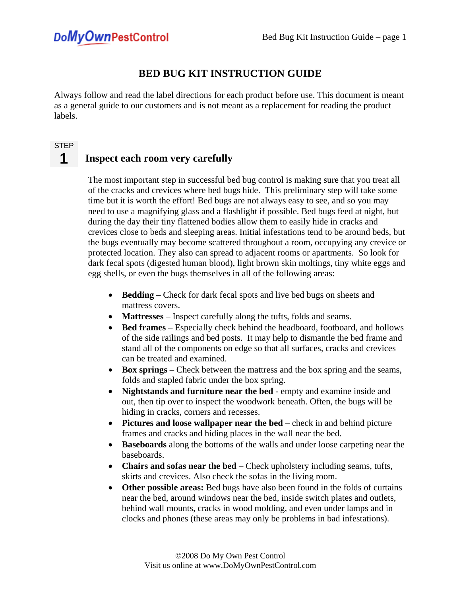## **BED BUG KIT INSTRUCTION GUIDE**

Always follow and read the label directions for each product before use. This document is meant as a general guide to our customers and is not meant as a replacement for reading the product labels.

#### **STEP**

#### **Inspect each room very carefully 1**

The most important step in successful bed bug control is making sure that you treat all of the cracks and crevices where bed bugs hide. This preliminary step will take some time but it is worth the effort! Bed bugs are not always easy to see, and so you may need to use a magnifying glass and a flashlight if possible. Bed bugs feed at night, but during the day their tiny flattened bodies allow them to easily hide in cracks and crevices close to beds and sleeping areas. Initial infestations tend to be around beds, but the bugs eventually may become scattered throughout a room, occupying any crevice or protected location. They also can spread to adjacent rooms or apartments. So look for dark fecal spots (digested human blood), light brown skin moltings, tiny white eggs and egg shells, or even the bugs themselves in all of the following areas:

- **Bedding** Check for dark fecal spots and live bed bugs on sheets and mattress covers.
- **Mattresses** Inspect carefully along the tufts, folds and seams.
- **Bed frames** Especially check behind the headboard, footboard, and hollows of the side railings and bed posts. It may help to dismantle the bed frame and stand all of the components on edge so that all surfaces, cracks and crevices can be treated and examined.
- **Box springs** Check between the mattress and the box spring and the seams, folds and stapled fabric under the box spring.
- **Nightstands and furniture near the bed** empty and examine inside and out, then tip over to inspect the woodwork beneath. Often, the bugs will be hiding in cracks, corners and recesses.
- **Pictures and loose wallpaper near the bed** check in and behind picture frames and cracks and hiding places in the wall near the bed.
- **Baseboards** along the bottoms of the walls and under loose carpeting near the baseboards.
- **Chairs and sofas near the bed** Check upholstery including seams, tufts, skirts and crevices. Also check the sofas in the living room.
- **Other possible areas:** Bed bugs have also been found in the folds of curtains near the bed, around windows near the bed, inside switch plates and outlets, behind wall mounts, cracks in wood molding, and even under lamps and in clocks and phones (these areas may only be problems in bad infestations).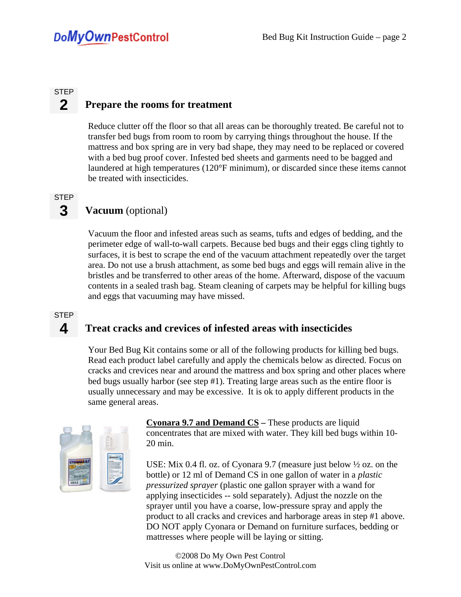#### **Prepare the rooms for treatment STEP 2**

Reduce clutter off the floor so that all areas can be thoroughly treated. Be careful not to transfer bed bugs from room to room by carrying things throughout the house. If the mattress and box spring are in very bad shape, they may need to be replaced or covered with a bed bug proof cover. Infested bed sheets and garments need to be bagged and laundered at high temperatures (120°F minimum), or discarded since these items cannot be treated with insecticides.

### **STEP 3**

## **Vacuum** (optional)

Vacuum the floor and infested areas such as seams, tufts and edges of bedding, and the perimeter edge of wall-to-wall carpets. Because bed bugs and their eggs cling tightly to surfaces, it is best to scrape the end of the vacuum attachment repeatedly over the target area. Do not use a brush attachment, as some bed bugs and eggs will remain alive in the bristles and be transferred to other areas of the home. Afterward, dispose of the vacuum contents in a sealed trash bag. Steam cleaning of carpets may be helpful for killing bugs and eggs that vacuuming may have missed.

### **STEP**

**4** 

## **Treat cracks and crevices of infested areas with insecticides**

Your Bed Bug Kit contains some or all of the following products for killing bed bugs. Read each product label carefully and apply the chemicals below as directed. Focus on cracks and crevices near and around the mattress and box spring and other places where bed bugs usually harbor (see step #1). Treating large areas such as the entire floor is usually unnecessary and may be excessive. It is ok to apply different products in the same general areas.



**Cyonara 9.7 and Demand CS –** These products are liquid concentrates that are mixed with water. They kill bed bugs within 10- 20 min.

USE: Mix 0.4 fl. oz. of Cyonara 9.7 (measure just below ½ oz. on the bottle) or 12 ml of Demand CS in one gallon of water in a *plastic pressurized sprayer* (plastic one gallon sprayer with a wand for applying insecticides -- sold separately). Adjust the nozzle on the sprayer until you have a coarse, low-pressure spray and apply the product to all cracks and crevices and harborage areas in step #1 above. DO NOT apply Cyonara or Demand on furniture surfaces, bedding or mattresses where people will be laying or sitting.

©2008 Do My Own Pest Control Visit us online at www.DoMyOwnPestControl.com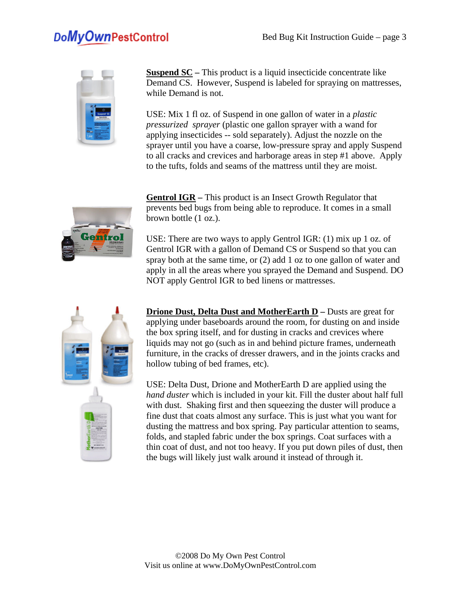

**Suspend SC –** This product is a liquid insecticide concentrate like Demand CS. However, Suspend is labeled for spraying on mattresses, while Demand is not.

USE: Mix 1 fl oz. of Suspend in one gallon of water in a *plastic pressurized sprayer* (plastic one gallon sprayer with a wand for applying insecticides -- sold separately). Adjust the nozzle on the sprayer until you have a coarse, low-pressure spray and apply Suspend to all cracks and crevices and harborage areas in step #1 above. Apply to the tufts, folds and seams of the mattress until they are moist.



**Gentrol IGR –** This product is an Insect Growth Regulator that prevents bed bugs from being able to reproduce. It comes in a small brown bottle (1 oz.).

USE: There are two ways to apply Gentrol IGR: (1) mix up 1 oz. of Gentrol IGR with a gallon of Demand CS or Suspend so that you can spray both at the same time, or (2) add 1 oz to one gallon of water and apply in all the areas where you sprayed the Demand and Suspend. DO NOT apply Gentrol IGR to bed linens or mattresses.



**Drione Dust, Delta Dust and MotherEarth D – Dusts are great for** applying under baseboards around the room, for dusting on and inside the box spring itself, and for dusting in cracks and crevices where liquids may not go (such as in and behind picture frames, underneath furniture, in the cracks of dresser drawers, and in the joints cracks and hollow tubing of bed frames, etc).

USE: Delta Dust, Drione and MotherEarth D are applied using the *hand duster* which is included in your kit. Fill the duster about half full with dust. Shaking first and then squeezing the duster will produce a fine dust that coats almost any surface. This is just what you want for dusting the mattress and box spring. Pay particular attention to seams, folds, and stapled fabric under the box springs. Coat surfaces with a thin coat of dust, and not too heavy. If you put down piles of dust, then the bugs will likely just walk around it instead of through it.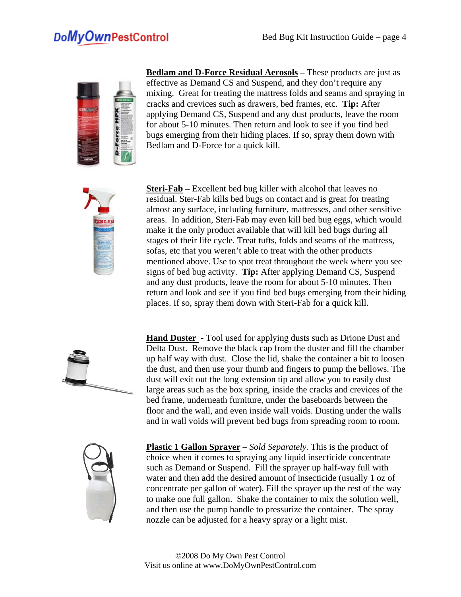

**Bedlam and D-Force Residual Aerosols –** These products are just as effective as Demand CS and Suspend, and they don't require any mixing. Great for treating the mattress folds and seams and spraying in cracks and crevices such as drawers, bed frames, etc. **Tip:** After applying Demand CS, Suspend and any dust products, leave the room for about 5-10 minutes. Then return and look to see if you find bed bugs emerging from their hiding places. If so, spray them down with Bedlam and D-Force for a quick kill.



**Steri-Fab** – Excellent bed bug killer with alcohol that leaves no residual. Ster-Fab kills bed bugs on contact and is great for treating almost any surface, including furniture, mattresses, and other sensitive areas. In addition, Steri-Fab may even kill bed bug eggs, which would make it the only product available that will kill bed bugs during all stages of their life cycle. Treat tufts, folds and seams of the mattress, sofas, etc that you weren't able to treat with the other products mentioned above. Use to spot treat throughout the week where you see signs of bed bug activity. **Tip:** After applying Demand CS, Suspend and any dust products, leave the room for about 5-10 minutes. Then return and look and see if you find bed bugs emerging from their hiding places. If so, spray them down with Steri-Fab for a quick kill.



**Hand Duster** - Tool used for applying dusts such as Drione Dust and Delta Dust. Remove the black cap from the duster and fill the chamber up half way with dust. Close the lid, shake the container a bit to loosen the dust, and then use your thumb and fingers to pump the bellows. The dust will exit out the long extension tip and allow you to easily dust large areas such as the box spring, inside the cracks and crevices of the bed frame, underneath furniture, under the baseboards between the floor and the wall, and even inside wall voids. Dusting under the walls and in wall voids will prevent bed bugs from spreading room to room.



**Plastic 1 Gallon Sprayer** – *Sold Separately.* This is the product of choice when it comes to spraying any liquid insecticide concentrate such as Demand or Suspend. Fill the sprayer up half-way full with water and then add the desired amount of insecticide (usually 1 oz of concentrate per gallon of water). Fill the sprayer up the rest of the way to make one full gallon. Shake the container to mix the solution well, and then use the pump handle to pressurize the container. The spray nozzle can be adjusted for a heavy spray or a light mist.